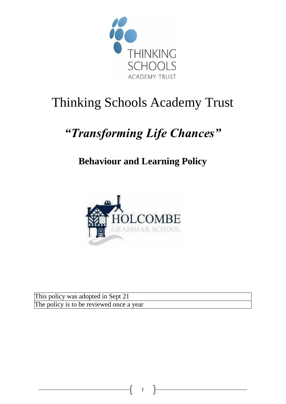

# Thinking Schools Academy Trust

# *"Transforming Life Chances"*

# **Behaviour and Learning Policy**



This policy was adopted in Sept 21 The policy is to be reviewed once a year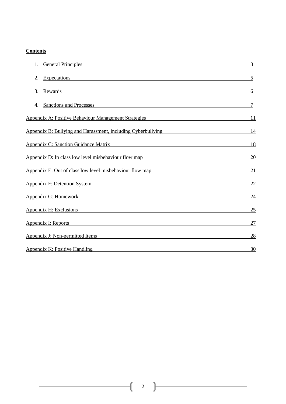# **Contents**

| <b>General Principles</b>                                                                                                                                      | $\overline{3}$ |
|----------------------------------------------------------------------------------------------------------------------------------------------------------------|----------------|
| <b>Expectations</b><br>2.<br><u> 1989 - Johann Stoff, deutscher Stoffen und der Stoffen und der Stoffen und der Stoffen und der Stoffen und der</u>            | 5              |
| 3.<br>Rewards<br><u> 1989 - Johann Stoff, deutscher Stoff, der Stoff, der Stoff, der Stoff, der Stoff, der Stoff, der Stoff, der S</u>                         | 6              |
| Sanctions and Processes<br>4.<br><u> 1989 - Johann Stoff, deutscher Stoffen und der Stoffen und der Stoffen und der Stoffen und der Stoffen und der</u>        | 7              |
| Appendix A: Positive Behaviour Management Strategies Appendix A: Positive Behaviour Management Strategies                                                      | 11             |
| Appendix B: Bullying and Harassment, including Cyberbullying                                                                                                   | <u>14</u>      |
| <b>Appendix C: Sanction Guidance Matrix</b><br><u> 1989 - Johann Stein, fransk politiker (d. 1989)</u>                                                         | <u>18</u>      |
| Appendix D: In class low level misbehaviour flow map<br><u> 1989 - Johann Stein, mars an deus Amerikaansk kommunister (</u>                                    | <u>20</u>      |
| Appendix E: Out of class low level misbehaviour flow map                                                                                                       | <u>21</u>      |
| Appendix F: Detention System                                                                                                                                   | 22             |
| Appendix G: Homework <b>Example 2018</b>                                                                                                                       | <u>24</u>      |
| Appendix H: Exclusions                                                                                                                                         | 25             |
| Appendix I: Reports                                                                                                                                            | 27             |
| <b>Appendix J: Non-permitted Items</b><br><u> 1989 - Johann John Stone, markin film yn y brening yn y brening yn y brening yn y brening y brening yn y bre</u> | <u>28</u>      |
| Appendix K: Positive Handling                                                                                                                                  | 30             |

2

ſ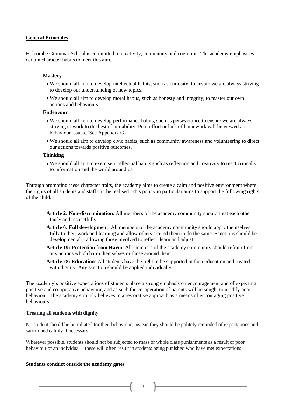#### **General Principles**

Holcombe Grammar School is committed to creativity, community and cognition. The academy emphasises certain character habits to meet this aim.

#### **Mastery**

- We should all aim to develop intellectual habits, such as curiosity, to ensure we are always striving to develop our understanding of new topics.
- We should all aim to develop moral habits, such as honesty and integrity, to master our own actions and behaviours.

#### **Endeavour**

- We should all aim to develop performance habits, such as perseverance to ensure we are always striving to work to the best of our ability. Poor effort or lack of homework will be viewed as behaviour issues. (See Appendix G)
- We should all aim to develop civic habits, such as community awareness and volunteering to direct our actions towards positive outcomes.

#### **Thinking**

• We should all aim to exercise intellectual habits such as reflection and creativity to react critically to information and the world around us.

Through promoting these character traits, the academy aims to create a calm and positive environment where the rights of all students and staff can be realised. This policy in particular aims to support the following rights of the child:

- **Article 2: Non-discrimination**: All members of the academy community should treat each other fairly and respectfully.
- **Article 6: Full development**: All members of the academy community should apply themselves fully to their work and learning and allow others around them to do the same. Sanctions should be developmental – allowing those involved to reflect, learn and adjust.
- **Article 19: Protection from Harm**: All members of the academy community should refrain from any actions which harm themselves or those around them.
- **Article 28: Education**: All students have the right to be supported in their education and treated with dignity. Any sanction should be applied individually.

The academy's positive expectations of students place a strong emphasis on encouragement and of expecting positive and co-operative behaviour, and as such the co-operation of parents will be sought to modify poor behaviour. The academy strongly believes in a restorative approach as a means of encouraging positive behaviours.

#### **Treating all students with dignity**

No student should be humiliated for their behaviour, instead they should be politely reminded of expectations and sanctioned calmly if necessary.

Wherever possible, students should not be subjected to mass or whole class punishments as a result of poor behaviour of an individual – these will often result in students being punished who have met expectations.

#### **Students conduct outside the academy gates**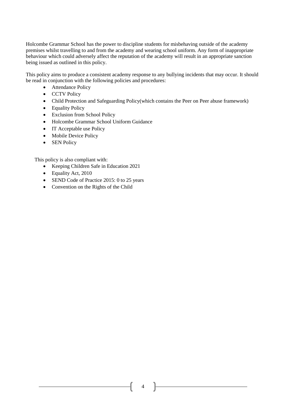Holcombe Grammar School has the power to discipline students for misbehaving outside of the academy premises whilst travelling to and from the academy and wearing school uniform. Any form of inappropriate behaviour which could adversely affect the reputation of the academy will result in an appropriate sanction being issued as outlined in this policy.

This policy aims to produce a consistent academy response to any bullying incidents that may occur. It should be read in conjunction with the following policies and procedures:

- Attendance Policy
- CCTV Policy
- Child Protection and Safeguarding Policy(which contains the Peer on Peer abuse framework)
- Equality Policy
- Exclusion from School Policy
- Holcombe Grammar School Uniform Guidance
- IT Acceptable use Policy
- Mobile Device Policy
- SEN Policy

This policy is also compliant with:

- Keeping Children Safe in Education 2021
- Equality Act, 2010
- SEND Code of Practice 2015: 0 to 25 years
- Convention on the Rights of the Child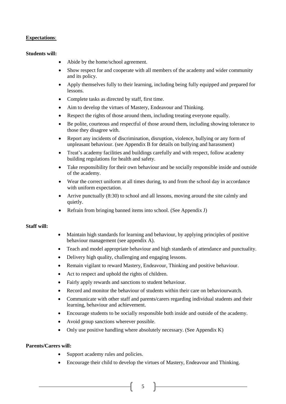# **Expectations**:

#### **Students will:**

- Abide by the home/school agreement.
- Show respect for and cooperate with all members of the academy and wider community and its policy.
- Apply themselves fully to their learning, including being fully equipped and prepared for lessons.
- Complete tasks as directed by staff, first time.
- Aim to develop the virtues of Mastery, Endeavour and Thinking.
- Respect the rights of those around them, including treating everyone equally.
- Be polite, courteous and respectful of those around them, including showing tolerance to those they disagree with.
- Report any incidents of discrimination, disruption, violence, bullying or any form of unpleasant behaviour. (see Appendix B for details on bullying and harassment)
- Treat's academy facilities and buildings carefully and with respect, follow academy building regulations for health and safety.
- Take responsibility for their own behaviour and be socially responsible inside and outside of the academy.
- Wear the correct uniform at all times during, to and from the school day in accordance with uniform expectation.
- Arrive punctually (8:30) to school and all lessons, moving around the site calmly and quietly.
- Refrain from bringing banned items into school. (See Appendix J)

#### **Staff will:**

- Maintain high standards for learning and behaviour, by applying principles of positive behaviour management (see appendix A).
- Teach and model appropriate behaviour and high standards of attendance and punctuality.
- Delivery high quality, challenging and engaging lessons.
- Remain vigilant to reward Mastery, Endeavour, Thinking and positive behaviour.
- Act to respect and uphold the rights of children.
- Fairly apply rewards and sanctions to student behaviour.
- Record and monitor the behaviour of students within their care on behaviourwatch.
- Communicate with other staff and parents/carers regarding individual students and their learning, behaviour and achievement.
- Encourage students to be socially responsible both inside and outside of the academy.
- Avoid group sanctions wherever possible.
- Only use positive handling where absolutely necessary. (See Appendix K)

# **Parents/Carers will:**

- Support academy rules and policies.
- Encourage their child to develop the virtues of Mastery, Endeavour and Thinking.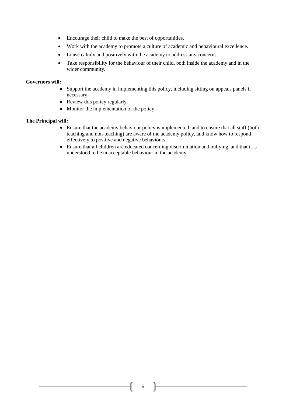- Encourage their child to make the best of opportunities.
- Work with the academy to promote a culture of academic and behavioural excellence.
- Liaise calmly and positively with the academy to address any concerns.
- Take responsibility for the behaviour of their child, both inside the academy and in the wider community.

#### **Governors will:**

- Support the academy in implementing this policy, including sitting on appeals panels if necessary.
- Review this policy regularly.
- Monitor the implementation of the policy.

#### **The Principal will:**

- Ensure that the academy behaviour policy is implemented, and to ensure that all staff (both teaching and non-teaching) are aware of the academy policy, and know how to respond effectively to positive and negative behaviours.
- Ensure that all children are educated concerning discrimination and bullying, and that it is understood to be unacceptable behaviour in the academy.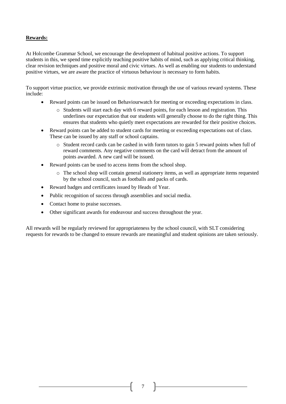# **Rewards:**

At Holcombe Grammar School, we encourage the development of habitual positive actions. To support students in this, we spend time explicitly teaching positive habits of mind, such as applying critical thinking, clear revision techniques and positive moral and civic virtues. As well as enabling our students to understand positive virtues, we are aware the practice of virtuous behaviour is necessary to form habits.

To support virtue practice, we provide extrinsic motivation through the use of various reward systems. These include:

- Reward points can be issued on Behaviourwatch for meeting or exceeding expectations in class.
	- o Students will start each day with 6 reward points, for each lesson and registration. This underlines our expectation that our students will generally choose to do the right thing. This ensures that students who quietly meet expectations are rewarded for their positive choices.
- Reward points can be added to student cards for meeting or exceeding expectations out of class. These can be issued by any staff or school captains.
	- o Student record cards can be cashed in with form tutors to gain 5 reward points when full of reward comments. Any negative comments on the card will detract from the amount of points awarded. A new card will be issued.
- Reward points can be used to access items from the school shop.
	- o The school shop will contain general stationery items, as well as appropriate items requested by the school council, such as footballs and packs of cards.
- Reward badges and certificates issued by Heads of Year.
- Public recognition of success through assemblies and social media.
- Contact home to praise successes.
- Other significant awards for endeavour and success throughout the year.

All rewards will be regularly reviewed for appropriateness by the school council, with SLT considering requests for rewards to be changed to ensure rewards are meaningful and student opinions are taken seriously.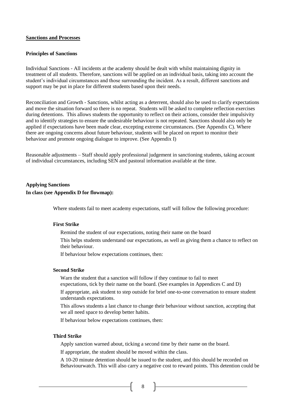#### **Sanctions and Processes**

#### **Principles of Sanctions**

Individual Sanctions - All incidents at the academy should be dealt with whilst maintaining dignity in treatment of all students. Therefore, sanctions will be applied on an individual basis, taking into account the student's individual circumstances and those surrounding the incident. As a result, different sanctions and support may be put in place for different students based upon their needs.

Reconciliation and Growth - Sanctions, whilst acting as a deterrent, should also be used to clarify expectations and move the situation forward so there is no repeat. Students will be asked to complete reflection exercises during detentions. This allows students the opportunity to reflect on their actions, consider their impulsivity and to identify strategies to ensure the undesirable behaviour is not repeated. Sanctions should also only be applied if expectations have been made clear, excepting extreme circumstances. (See Appendix C). Where there are ongoing concerns about future behaviour, students will be placed on report to monitor their behaviour and promote ongoing dialogue to improve. (See Appendix I)

Reasonable adjustments – Staff should apply professional judgement in sanctioning students, taking account of individual circumstances, including SEN and pastoral information available at the time.

# **Applying Sanctions In class (see Appendix D for flowmap):**

Where students fail to meet academy expectations, staff will follow the following procedure:

#### **First Strike**

Remind the student of our expectations, noting their name on the board

This helps students understand our expectations, as well as giving them a chance to reflect on their behaviour.

If behaviour below expectations continues, then:

#### **Second Strike**

Warn the student that a sanction will follow if they continue to fail to meet expectations, tick by their name on the board. (See examples in Appendices C and D)

If appropriate, ask student to step outside for brief one-to-one conversation to ensure student understands expectations.

This allows students a last chance to change their behaviour without sanction, accepting that we all need space to develop better habits.

If behaviour below expectations continues, then:

#### **Third Strike**

Apply sanction warned about, ticking a second time by their name on the board.

If appropriate, the student should be moved within the class.

A 10-20 minute detention should be issued to the student, and this should be recorded on Behaviourwatch. This will also carry a negative cost to reward points. This detention could be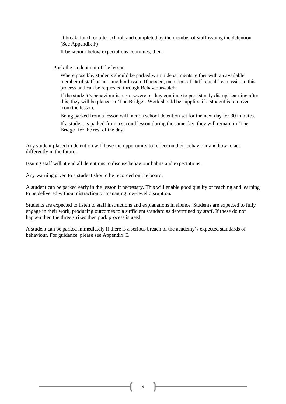at break, lunch or after school, and completed by the member of staff issuing the detention. (See Appendix F)

If behaviour below expectations continues, then:

#### **Park** the student out of the lesson

Where possible, students should be parked within departments, either with an available member of staff or into another lesson. If needed, members of staff 'oncall' can assist in this process and can be requested through Behaviourwatch.

If the student's behaviour is more severe or they continue to persistently disrupt learning after this, they will be placed in 'The Bridge'. Work should be supplied if a student is removed from the lesson.

Being parked from a lesson will incur a school detention set for the next day for 30 minutes.

If a student is parked from a second lesson during the same day, they will remain in 'The Bridge' for the rest of the day.

Any student placed in detention will have the opportunity to reflect on their behaviour and how to act differently in the future.

Issuing staff will attend all detentions to discuss behaviour habits and expectations.

Any warning given to a student should be recorded on the board.

A student can be parked early in the lesson if necessary. This will enable good quality of teaching and learning to be delivered without distraction of managing low-level disruption.

Students are expected to listen to staff instructions and explanations in silence. Students are expected to fully engage in their work, producing outcomes to a sufficient standard as determined by staff. If these do not happen then the three strikes then park process is used.

A student can be parked immediately if there is a serious breach of the academy's expected standards of behaviour. For guidance, please see Appendix C.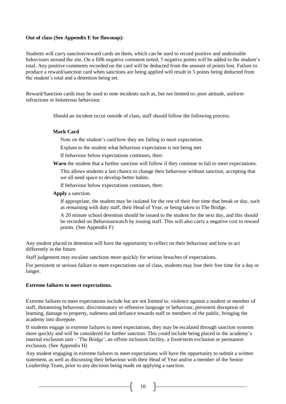#### **Out of class (See Appendix E for flowmap):**

Students will carry sanction/reward cards on them, which can be used to record positive and undesirable behaviours around the site. On a fifth negative comment noted, 5 negative points will be added to the student's total. Any positive comments recorded on the card will be deducted from the amount of points lost. Failure to produce a reward/sanction card when sanctions are being applied will result in 5 points being deducted from the student's total and a detention being set.

Reward/Sanction cards may be used to note incidents such as, but not limited to: poor attitude, uniform infractions or boisterous behaviour.

Should an incident occur outside of class, staff should follow the following process:

#### **Mark Card**

Note on the student's card how they are failing to meet expectation.

Explain to the student what behaviour expectation is not being met

If behaviour below expectations continues, then:

**Warn** the student that a further sanction will follow if they continue to fail to meet expectations.

This allows students a last chance to change their behaviour without sanction, accepting that we all need space to develop better habits.

If behaviour below expectations continues, then:

**Apply** a sanction.

If appropriate, the student may be isolated for the rest of their free time that break or day, such as remaining with duty staff, their Head of Year, or being taken to The Bridge.

A 20 minute school detention should be issued to the student for the next day, and this should be recorded on Behaviourwatch by issuing staff. This will also carry a negative cost to reward points. (See Appendix F)

Any student placed in detention will have the opportunity to reflect on their behaviour and how to act differently in the future.

Staff judgement may escalate sanctions more quickly for serious breaches of expectations.

For persistent or serious failure to meet expectations out of class, students may lose their free time for a day or longer.

#### **Extreme failures to meet expectations.**

Extreme failures to meet expectations include but are not limited to: violence against a student or member of staff, threatening behaviour, discriminatory or offensive language or behaviour, persistent disruption of learning, damage to property, rudeness and defiance towards staff or members of the public, bringing the academy into disrepute.

If students engage in extreme failures to meet expectations, they may be escalated through sanction systems more quickly and will be considered for further sanction. This could include being placed in the academy's internal exclusion unit - 'The Bridge', an offsite inclusion facility, a fixed-term exclusion or permanent exclusion. (See Appendix H)

Any student engaging in extreme failures to meet expectations will have the opportunity to submit a written statement, as well as discussing their behaviour with their Head of Year and/or a member of the Senior Leadership Team, prior to any decision being made on applying a sanction.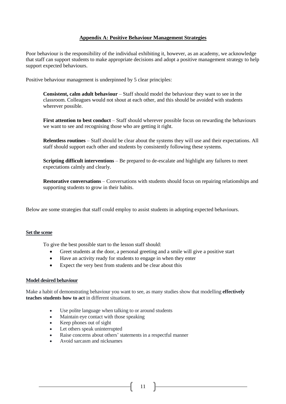#### **Appendix A: Positive Behaviour Management Strategies**

Poor behaviour is the responsibility of the individual exhibiting it, however, as an academy, we acknowledge that staff can support students to make appropriate decisions and adopt a positive management strategy to help support expected behaviours.

Positive behaviour management is underpinned by 5 clear principles:

**[Consistent, calm adult behaviour](https://pivotaleducation.com/classroom-behaviour-management/resource-bank/pillar-1-consistent-calm-adult-behaviour/)** – Staff should model the behaviour they want to see in the classroom. Colleagues would not shout at each other, and this should be avoided with students wherever possible.

**[First attention to](https://pivotaleducation.com/classroom-behaviour-management/resource-bank/pillar-2-first-attention-to-best-conduct/) best conduct** – Staff should wherever possible focus on rewarding the behaviours we want to see and recognising those who are getting it right.

**[Relentless routines](https://pivotaleducation.com/classroom-behaviour-management/resource-bank/pillar-3-relentless-routines/)** – Staff should be clear about the systems they will use and their expectations. All staff should support each other and students by consistently following these systems.

**[Scripting difficult interventions](https://pivotaleducation.com/classroom-behaviour-management/resource-bank/pillar-4-scripting-difficult-interventions/)** – Be prepared to de-escalate and highlight any failures to meet expectations calmly and clearly.

**[Restorative conversations](https://pivotaleducation.com/classroom-behaviour-management/resource-bank/pillar-5-restorative-conversations/)** – Conversations with students should focus on repairing relationships and supporting students to grow in their habits.

Below are some strategies that staff could employ to assist students in adopting expected behaviours.

#### **Set the scene**

To give the best possible start to the lesson staff should:

- Greet students at the door, a personal greeting and a smile will give a positive start
- Have an activity ready for students to engage in when they enter
- Expect the very best from students and be clear about this

#### **Model desired behaviour**

Make a habit of demonstrating behaviour you want to see, as many studies show that modelling **effectively teaches students how to act** in different situations.

- Use polite language when talking to or around students
- Maintain eye contact with those speaking
- Keep phones out of sight
- Let others speak uninterrupted
- Raise concerns about others' statements in a respectful manner
- Avoid sarcasm and nicknames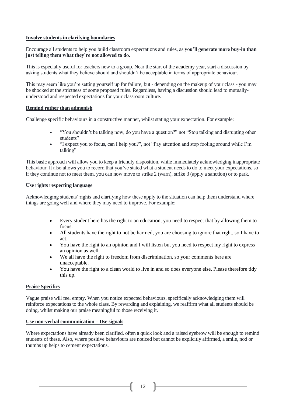#### **Involve students in clarifying boundaries**

Encourage all students to help you build classroom expectations and rules, as **you'll generate more buy-in than just telling them what they're not allowed to do.**

This is especially useful for teachers new to a group. Near the start of the academy year, start a discussion by asking students what they believe should and shouldn't be acceptable in terms of appropriate behaviour.

This may seem like you're setting yourself up for failure, but - depending on the makeup of your class - you may be shocked at the strictness of some proposed rules. Regardless, having a discussion should lead to mutuallyunderstood and respected expectations for your classroom culture.

#### **Remind rather than admonish**

Challenge specific behaviours in a constructive manner, whilst stating your expectation. For example:

- "You shouldn't be talking now, do you have a question?" not "Stop talking and disrupting other students"
- "I expect you to focus, can I help you?", not "Pay attention and stop fooling around while I'm talking"

This basic approach will allow you to keep a friendly disposition, while immediately acknowledging inappropriate behaviour. It also allows you to record that you've stated what a student needs to do to meet your expectations, so if they continue not to meet them, you can now move to strike 2 (warn), strike 3 (apply a sanction) or to park.

#### **Use rights respecting language**

Acknowledging students' rights and clarifying how these apply to the situation can help them understand where things are going well and where they may need to improve. For example:

- Every student here has the right to an education, you need to respect that by allowing them to focus.
- All students have the right to not be harmed, you are choosing to ignore that right, so I have to act.
- You have the right to an opinion and I will listen but you need to respect my right to express an opinion as well.
- We all have the right to freedom from discrimination, so your comments here are unacceptable.
- You have the right to a clean world to live in and so does everyone else. Please therefore tidy this up.

# **Praise Specifics**

Vague praise will feel empty. When you notice expected behaviours, specifically acknowledging them will reinforce expectations to the whole class. By rewarding and explaining, we reaffirm what all students should be doing, whilst making our praise meaningful to those receiving it.

#### **Use non-verbal communication – Use signals**

Where expectations have already been clarified, often a quick look and a raised eyebrow will be enough to remind students of these. Also, where positive behaviours are noticed but cannot be explicitly affirmed, a smile, nod or thumbs up helps to cement expectations.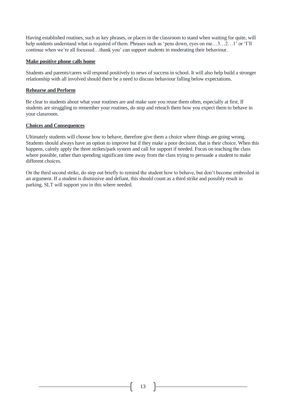Having established routines, such as key phrases, or places in the classroom to stand when waiting for quite, will help sutdents understand what is required of them. Phrases such as 'pens down, eyes on me...3...2...1' or 'I'll continue when we're all focussed…thank you' can support students in moderating their behaviour.

#### **Make positive phone calls home**

Students and parents/carers will respond positively to news of success in school. It will also help build a stronger relationship with all involved should there be a need to discuss behaviour falling below expectations.

#### **Rehearse and Perform**

Be clear to students about what your routines are and make sure you reuse them often, especially at first. If students are struggling to remember your routines, do stop and reteach them how you expect them to behave in your classroom.

#### **Choices and Consequences**

Ultimately students will choose how to behave, therefore give them a choice where things are going wrong. Students should always have an option to improve but if they make a poor decision, that is their choice. When this happens, calmly apply the three strikes/park system and call for support if needed. Focus on teaching the class where possible, rather than spending significant time away from the class trying to persuade a student to make different choices.

On the third second strike, do step out briefly to remind the student how to behave, but don't become embroiled in an argument. If a student is dismissive and defiant, this should count as a third strike and possibly result in parking. SLT will support you in this where needed.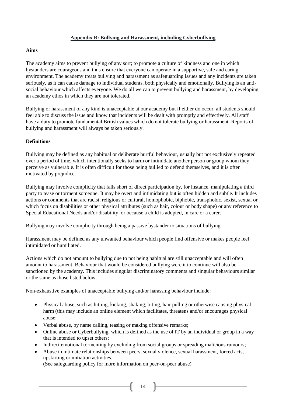# **Appendix B: Bullying and Harassment, including Cyberbullying**

#### **Aims**

The academy aims to prevent bullying of any sort; to promote a culture of kindness and one in which bystanders are courageous and thus ensure that everyone can operate in a supportive, safe and caring environment. The academy treats bullying and harassment as safeguarding issues and any incidents are taken seriously, as it can cause damage to individual students, both physically and emotionally. Bullying is an antisocial behaviour which affects everyone. We do all we can to prevent bullying and harassment, by developing an academy ethos in which they are not tolerated.

Bullying or harassment of any kind is unacceptable at our academy but if either do occur, all students should feel able to discuss the issue and know that incidents will be dealt with promptly and effectively. All staff have a duty to promote fundamental British values which do not tolerate bullying or harassment. Reports of bullying and harassment will always be taken seriously.

# **Definitions**

Bullying may be defined as any habitual or deliberate hurtful behaviour, usually but not exclusively repeated over a period of time, which intentionally seeks to harm or intimidate another person or group whom they perceive as vulnerable. It is often difficult for those being bullied to defend themselves, and it is often motivated by prejudice.

Bullying may involve complicity that falls short of direct participation by, for instance, manipulating a third party to tease or torment someone. It may be overt and intimidating but is often hidden and subtle. It includes actions or comments that are racist, religious or cultural, homophobic, biphobic, transphobic, sexist, sexual or which focus on disabilities or other physical attributes (such as hair, colour or body shape) or any reference to Special Educational Needs and/or disability, or because a child is adopted, in care or a carer.

Bullying may involve complicity through being a passive bystander to situations of bullying.

Harassment may be defined as any unwanted behaviour which people find offensive or makes people feel intimidated or humiliated.

Actions which do not amount to bullying due to not being habitual are still unacceptable and will often amount to harassment. Behaviour that would be considered bullying were it to continue will also be sanctioned by the academy. This includes singular discriminatory comments and singular behaviours similar or the same as those listed below.

Non-exhaustive examples of unacceptable bullying and/or harassing behaviour include:

- Physical abuse, such as hitting, kicking, shaking, biting, hair pulling or otherwise causing physical harm (this may include an online element which facilitates, threatens and/or encourages physical abuse;
- Verbal abuse, by name calling, teasing or making offensive remarks;
- Online abuse or Cyberbullying, which is defined as the use of IT by an individual or group in a way that is intended to upset others;

 $14$  ]

- Indirect emotional tormenting by excluding from social groups or spreading malicious rumours;
- Abuse in intimate relationships between peers, sexual violence, sexual harassment, forced acts, upskirting or initiation activities.

(See safeguarding policy for more information on peer-on-peer abuse)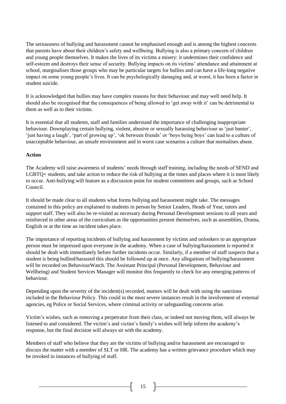The seriousness of bullying and harassment cannot be emphasised enough and is among the highest concerns that parents have about their children's safety and wellbeing. Bullying is also a primary concern of children and young people themselves. It makes the lives of its victims a misery: it undermines their confidence and self-esteem and destroys their sense of security. Bullying impacts on its victims' attendance and attainment at school, marginalises those groups who may be particular targets for bullies and can have a life-long negative impact on some young people's lives. It can be psychologically damaging and, at worst, it has been a factor in student suicide.

It is acknowledged that bullies may have complex reasons for their behaviour and may well need help. It should also be recognised that the consequences of being allowed to 'get away with it' can be detrimental to them as well as to their victims.

It is essential that all students, staff and families understand the importance of challenging inappropriate behaviour. Downplaying certain bullying, violent, abusive or sexually harassing behaviour as 'just banter', 'just having a laugh', 'part of growing up', 'ok between friends' or 'boys being boys' can lead to a culture of unacceptable behaviour, an unsafe environment and in worst case scenarios a culture that normalises abuse.

#### **Action**

The Academy will raise awareness of students' needs through staff training, including the needs of SEND and LGBTQ+ students, and take action to reduce the risk of bullying at the times and places where it is most likely to occur. Anti-bullying will feature as a discussion point for student committees and groups, such as School Council.

It should be made clear to all students what forms bullying and harassment might take. The messages contained in this policy are explained to students in person by Senior Leaders, Heads of Year, tutors and support staff. They will also be re-visited as necessary during Personal Development sessions to all years and reinforced in other areas of the curriculum as the opportunities present themselves, such as assemblies, Drama, English or at the time an incident takes place.

The importance of reporting incidents of bullying and harassment by victims and onlookers to an appropriate person must be impressed upon everyone in the academy. When a case of bullying/harassment is reported it should be dealt with immediately before further incidents occur. Similarly, if a member of staff suspects that a student is being bullied/harassed this should be followed up at once. Any allegations of bullying/harassment will be recorded on BehaviourWatch. The Assistant Principal (Personal Development, Behaviour and Wellbeing) and Student Services Manager will monitor this frequently to check for any emerging patterns of behaviour.

Depending upon the severity of the incident(s) recorded, matters will be dealt with using the sanctions included in the Behaviour Policy. This could in the most severe instances result in the involvement of external agencies, eg Police or Social Services, where criminal activity or safeguarding concerns arise.

Victim's wishes, such as removing a perpetrator from their class, or indeed not moving them, will always be listened to and considered. The victim's and victim's family's wishes will help inform the academy's response, but the final decision will always sit with the academy.

Members of staff who believe that they are the victims of bullying and/or harassment are encouraged to discuss the matter with a member of SLT or HR. The academy has a written grievance procedure which may be invoked in instances of bullying of staff.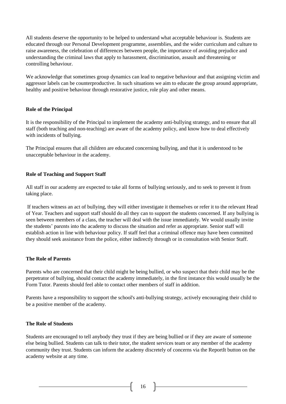All students deserve the opportunity to be helped to understand what acceptable behaviour is. Students are educated through our Personal Development programme, assemblies, and the wider curriculum and culture to raise awareness, the celebration of differences between people, the importance of avoiding prejudice and understanding the criminal laws that apply to harassment, discrimination, assault and threatening or controlling behaviour.

We acknowledge that sometimes group dynamics can lead to negative behaviour and that assigning victim and aggressor labels can be counterproductive. In such situations we aim to educate the group around appropriate, healthy and positive behaviour through restorative justice, role play and other means.

#### **Role of the Principal**

It is the responsibility of the Principal to implement the academy anti-bullying strategy, and to ensure that all staff (both teaching and non-teaching) are aware of the academy policy, and know how to deal effectively with incidents of bullying.

The Principal ensures that all children are educated concerning bullying, and that it is understood to be unacceptable behaviour in the academy.

# **Role of Teaching and Support Staff**

All staff in our academy are expected to take all forms of bullying seriously, and to seek to prevent it from taking place.

If teachers witness an act of bullying, they will either investigate it themselves or refer it to the relevant Head of Year. Teachers and support staff should do all they can to support the students concerned. If any bullying is seen between members of a class, the teacher will deal with the issue immediately. We would usually invite the students' parents into the academy to discuss the situation and refer as appropriate. Senior staff will establish action in line with behaviour policy. If staff feel that a criminal offence may have been committed they should seek assistance from the police, either indirectly through or in consultation with Senior Staff.

#### **The Role of Parents**

Parents who are concerned that their child might be being bullied, or who suspect that their child may be the perpetrator of bullying, should contact the academy immediately, in the first instance this would usually be the Form Tutor. Parents should feel able to contact other members of staff in addition.

Parents have a responsibility to support the school's anti-bullying strategy, actively encouraging their child to be a positive member of the academy.

#### **The Role of Students**

Students are encouraged to tell anybody they trust if they are being bullied or if they are aware of someone else being bullied. Students can talk to their tutor, the student services team or any member of the academy community they trust. Students can inform the academy discretely of concerns via the ReportIt button on the academy website at any time.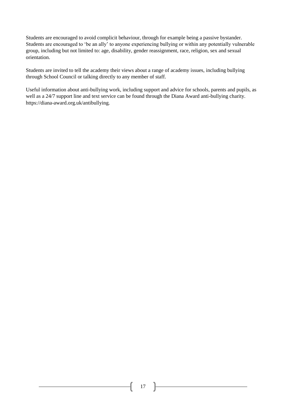Students are encouraged to avoid complicit behaviour, through for example being a passive bystander. Students are encouraged to 'be an ally' to anyone experiencing bullying or within any potentially vulnerable group, including but not limited to: age, disability, gender reassignment, race, religion, sex and sexual orientation.

Students are invited to tell the academy their views about a range of academy issues, including bullying through School Council or talking directly to any member of staff.

Useful information about anti-bullying work, including support and advice for schools, parents and pupils, as well as a 24/7 support line and text service can be found through the Diana Award anti-bullying charity. https://diana-award.org.uk/antibullying.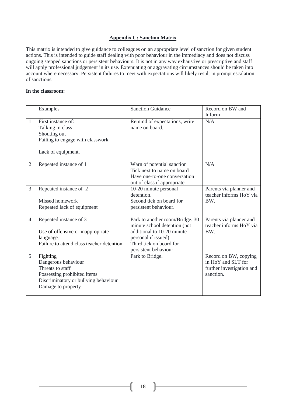#### **Appendix C: Sanction Matrix**

This matrix is intended to give guidance to colleagues on an appropriate level of sanction for given student actions. This is intended to guide staff dealing with poor behaviour in the immediacy and does not discuss ongoing stepped sanctions or persistent behaviours. It is not in any way exhaustive or prescriptive and staff will apply professional judgement in its use. Extenuating or aggravating circumstances should be taken into account where necessary. Persistent failures to meet with expectations will likely result in prompt escalation of sanctions.

#### **In the classroom:**

|                | Examples                                                                                                                                         | <b>Sanction Guidance</b>                                                                                                                                                  | Record on BW and<br>Inform                                                            |
|----------------|--------------------------------------------------------------------------------------------------------------------------------------------------|---------------------------------------------------------------------------------------------------------------------------------------------------------------------------|---------------------------------------------------------------------------------------|
| 1              | First instance of:<br>Talking in class<br>Shouting out<br>Failing to engage with classwork<br>Lack of equipment.                                 | Remind of expectations, write<br>name on board.                                                                                                                           | N/A                                                                                   |
| $\overline{2}$ | Repeated instance of 1                                                                                                                           | Warn of potential sanction<br>Tick next to name on board<br>Have one-to-one conversation<br>out of class if appropriate.                                                  | N/A                                                                                   |
| 3              | Repeated instance of 2<br>Missed homework<br>Repeated lack of equipment                                                                          | 10-20 minute personal<br>detention.<br>Second tick on board for<br>persistent behaviour.                                                                                  | Parents via planner and<br>teacher informs HoY via<br>BW.                             |
| $\overline{4}$ | Repeated instance of 3<br>Use of offensive or inappropriate<br>language.<br>Failure to attend class teacher detention.                           | Park to another room/Bridge. 30<br>minute school detention (not<br>additional to 10-20 minute<br>personal if issued).<br>Third tick on board for<br>persistent behaviour. | Parents via planner and<br>teacher informs HoY via<br>BW.                             |
| 5              | Fighting<br>Dangerous behaviour<br>Threats to staff<br>Possessing prohibited items<br>Discriminatory or bullying behaviour<br>Damage to property | Park to Bridge.                                                                                                                                                           | Record on BW, copying<br>in HoY and SLT for<br>further investigation and<br>sanction. |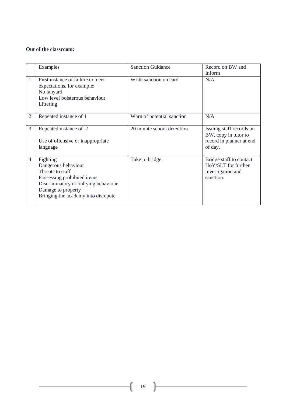#### **Out of the classroom:**

|                | Examples                                                                                                                                                                                | <b>Sanction Guidance</b>    | Record on BW and<br>Inform                                                              |
|----------------|-----------------------------------------------------------------------------------------------------------------------------------------------------------------------------------------|-----------------------------|-----------------------------------------------------------------------------------------|
| $\mathbf{1}$   | First instance of failure to meet<br>expectations, for example:<br>No lanyard<br>Low level boisterous behaviour<br>Littering                                                            | Write sanction on card      | N/A                                                                                     |
| $\overline{2}$ | Repeated instance of 1                                                                                                                                                                  | Warn of potential sanction  | N/A                                                                                     |
| 3              | Repeated instance of 2<br>Use of offensive or inappropriate<br>language                                                                                                                 | 20 minute school detention. | Issuing staff records on<br>BW, copy in tutor to<br>record in planner at end<br>of day. |
| $\overline{4}$ | Fighting<br>Dangerous behaviour<br>Threats to staff<br>Possessing prohibited items<br>Discriminatory or bullying behaviour<br>Damage to property<br>Bringing the academy into disrepute | Take to bridge.             | Bridge staff to contact<br>HoY/SLT for further<br>investigation and<br>sanction.        |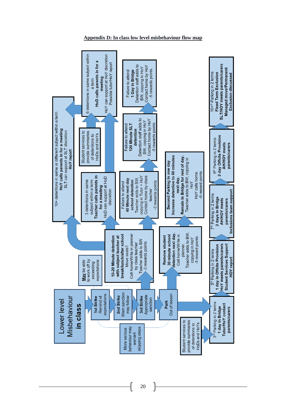

#### **Appendix D: In class low level misbehaviour flow map**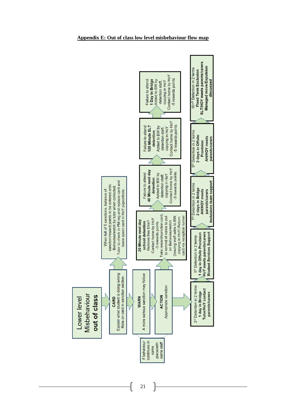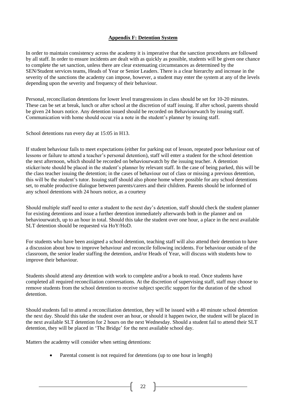# **Appendix F: Detention System**

In order to maintain consistency across the academy it is imperative that the sanction procedures are followed by all staff. In order to ensure incidents are dealt with as quickly as possible, students will be given one chance to complete the set sanction, unless there are clear extenuating circumstances as determined by the SEN/Student services teams, Heads of Year or Senior Leaders. There is a clear hierarchy and increase in the severity of the sanctions the academy can impose, however, a student may enter the system at any of the levels depending upon the severity and frequency of their behaviour.

Personal, reconciliation detentions for lower level transgressions in class should be set for 10-20 minutes. These can be set at break, lunch or after school at the discretion of staff issuing. If after school, parents should be given 24 hours notice. Any detention issued should be recorded on Behaviourwatch by issuing staff. Communication with home should occur via a note in the student's planner by issuing staff.

School detentions run every day at 15:05 in H13.

If student behaviour fails to meet expectations (either for parking out of lesson, repeated poor behaviour out of lessons or failure to attend a teacher's personal detention), staff will enter a student for the school detention the next afternoon, which should be recorded on behaviourwatch by the issuing teacher. A detention sticker/note should be placed in the student's planner by relevant staff. In the case of being parked, this will be the class teacher issuing the detention; in the cases of behaviour out of class or missing a previous detention, this will be the student's tutor. Issuing staff should also phone home where possible for any school detentions set, to enable productive dialogue between parents/carers and their children. Parents should be informed of any school detentions with 24 hours notice, as a courtesy

Should multiple staff need to enter a student to the next day's detention, staff should check the student planner for existing detentions and issue a further detention immediately afterwards both in the planner and on behaviourwatch, up to an hour in total. Should this take the student over one hour, a place in the next available SLT detention should be requested via HoY/HoD.

For students who have been assigned a school detention, teaching staff will also attend their detention to have a discussion about how to improve behaviour and reconcile following incidents. For behaviour outside of the classroom, the senior leader staffing the detention, and/or Heads of Year, will discuss with students how to improve their behaviour.

Students should attend any detention with work to complete and/or a book to read. Once students have completed all required reconciliation conversations. At the discretion of supervising staff, staff may choose to remove students from the school detention to receive subject specific support for the duration of the school detention.

Should students fail to attend a reconciliation detention, they will be issued with a 40 minute school detention the next day. Should this take the student over an hour, or should it happen twice, the student will be placed in the next available SLT detention for 2 hours on the next Wednesday. Should a student fail to attend their SLT detention, they will be placed in 'The Bridge' for the next available school day.

Matters the academy will consider when setting detentions:

Parental consent is not required for detentions (up to one hour in length)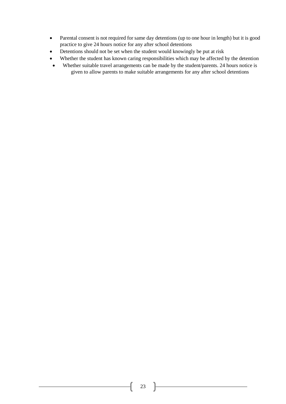- Parental consent is not required for same day detentions (up to one hour in length) but it is good practice to give 24 hours notice for any after school detentions
- Detentions should not be set when the student would knowingly be put at risk
- Whether the student has known caring responsibilities which may be affected by the detention
- Whether suitable travel arrangements can be made by the student/parents. 24 hours notice is given to allow parents to make suitable arrangements for any after school detentions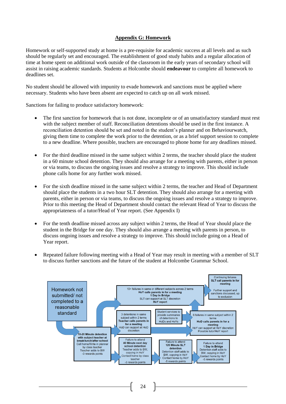# **Appendix G: Homework**

Homework or self-supported study at home is a pre-requisite for academic success at all levels and as such should be regularly set and encouraged. The establishment of good study habits and a regular allocation of time at home spent on additional work outside of the classroom in the early years of secondary school will assist in raising academic standards. Students at Holcombe should **endeavour** to complete all homework to deadlines set.

No student should be allowed with impunity to evade homework and sanctions must be applied where necessary. Students who have been absent are expected to catch up on all work missed.

Sanctions for failing to produce satisfactory homework:

- The first sanction for homework that is not done, incomplete or of an unsatisfactory standard must rest with the subject member of staff. Reconciliation detentions should be used in the first instance. A reconciliation detention should be set and noted in the student's planner and on Behaviourwatch, giving them time to complete the work prior to the detention, or as a brief support session to complete to a new deadline. Where possible, teachers are encouraged to phone home for any deadlines missed.
- For the third deadline missed in the same subject within 2 terms, the teacher should place the student in a 60 minute school detention. They should also arrange for a meeting with parents, either in person or via teams, to discuss the ongoing issues and resolve a strategy to improve. This should include phone calls home for any further work missed.
- For the sixth deadline missed in the same subject within 2 terms, the teacher and Head of Department should place the students in a two hour SLT detention. They should also arrange for a meeting with parents, either in person or via teams, to discuss the ongoing issues and resolve a strategy to improve. Prior to this meeting the Head of Department should contact the relevant Head of Year to discuss the appropriateness of a tutor/Head of Year report. (See Appendix I)
- For the tenth deadline missed across any subject within 2 terms, the Head of Year should place the student in the Bridge for one day. They should also arrange a meeting with parents in person, to discuss ongoing issues and resolve a strategy to improve. This should include going on a Head of Year report.
- Repeated failure following meeting with a Head of Year may result in meeting with a member of SLT to discuss further sanctions and the future of the student at Holcombe Grammar School.

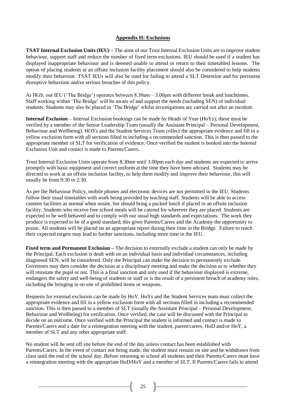# **Appendix H: Exclusions**

**TSAT Internal Exclusion Units (IEU) –** The aims of our Trust Internal Exclusion Units are to improve student behaviour, support staff and reduce the number of fixed term exclusions. IEU should be used if a student has displayed inappropriate behaviour and is deemed unable to attend or return to their timetabled lessons. The option of placing students at an offsite inclusion facility placement should also be considered to help students modify their behaviour. TSAT IEUs will also be used for failing to attend a SLT Detention and for persistent disruptive behaviour and/or serious breaches of this policy.

At HGS, our IEU ('The Bridge') operates between 8.30am – 3.00pm with different break and lunchtimes. Staff working within 'The Bridge' will be aware of and support the needs (including SEN) of individual students. Students may also be placed in 'The Bridge' whilst investigations are carried out after an incident.

**Internal Exclusion** – Internal Exclusion bookings can be made by Heads of Year (HoYs); these must be verified by a member of the Senior Leadership Team (usually the Assistant Principal – Personal Development, Behaviour and Wellbeing). HOYs and the Student Services Team collect the appropriate evidence and fill in a yellow exclusion form with all sections filled in including a recommended sanction. This is then passed to the appropriate member of SLT for verification of evidence. Once verified the student is booked into the Internal Exclusion Unit and contact is made to Parents/Carers.

Trust Internal Exclusion Units operate from 8.30am until 3.00pm each day and students are expected to arrive promptly with basic equipment and correct uniform at the time they have been advised. Students may be directed to work at an offsite inclusion facility, to help them modify and improve their behaviour, this will usually be from 9:30 to 2:30.

As per the Behaviour Policy, mobile phones and electronic devices are not permitted in the IEU. Students follow their usual timetables with work being provided by teaching staff. Students will be able to access canteen facilities as normal when onsite, but should bring a packed lunch if placed in an offsite inclusion facility. Students who receive free school meals will be catered for wherever they are placed. Students are expected to be well behaved and to comply with our usual high standards and expectations. The work they produce is expected to be of a good standard; this gives Parents/Carers and the Academy the opportunity to praise. All students will be placed on an appropriate report during their time in the Bridge. Failure to reach their expected targets may lead to further sanctions, including more time in the IEU.

**Fixed term and Permanent Exclusion** – The decision to externally exclude a student can only be made by the Principal. Each exclusion is dealt with on an individual basis and individual circumstances, including diagnosed SEN, will be considered. Only the Principal can make the decision to permanently exclude. Governors may then consider the decision at a disciplinary meeting and make the decision as to whether they will reinstate the pupil or not. This is a final sanction and only used if the behaviour displayed is extreme, endangers the safety and well-being of students or staff or is the result of a persistent breach of academy rules, including the bringing in on site of prohibited items or weapons.

Requests for external exclusion can be made by HoY. HoYs and the Student Services team must collect the appropriate evidence and fill in a yellow exclusion form with all sections filled in including a recommended sanction. This is then passed to a member of SLT (usually the Assistant Principal – Personal Development, Behaviour and Wellbeing) for verification. Once verified, the case will be discussed with the Principal to decide on an outcome. Once verified with the Principal the student is informed and contact is made to Parents/Carers and a date for a reintegration meeting with the student, parent/carers, HoD and/or HoY, a member of SLT and any other appropriate staff.

No student will be sent off site before the end of the day unless contact has been established with Parents/Carers. In the event of contact not being made, the student must remain on site and be withdrawn from class until the end of the school day. Before returning to school all students and their Parents/Carers must have a reintegration meeting with the appropriate HoD/HoY and a member of SLT. If Parents/Carers fails to attend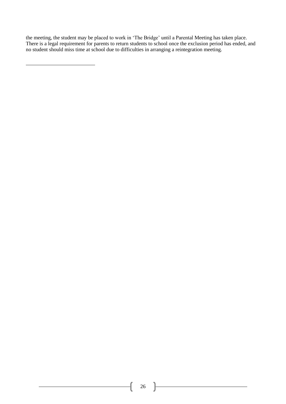the meeting, the student may be placed to work in 'The Bridge' until a Parental Meeting has taken place. There is a legal requirement for parents to return students to school once the exclusion period has ended, and no student should miss time at school due to difficulties in arranging a reintegration meeting.

 $\mathfrak{f}% _{0}$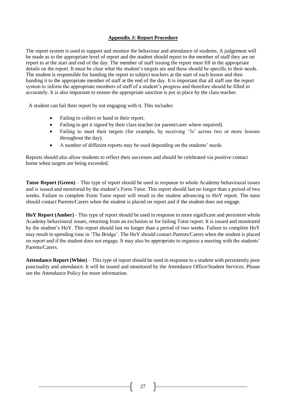# **Appendix J: Report Procedure**

The report system is used to support and monitor the behaviour and attendance of students. A judgement will be made as to the appropriate level of report and the student should report to the member of staff they are on report to at the start and end of the day. The member of staff issuing the report must fill in the appropriate details on the report. It must be clear what the student's targets are and these should be specific to their needs. The student is responsible for handing the report to subject teachers at the start of each lesson and then handing it to the appropriate member of staff at the end of the day. It is important that all staff use the report system to inform the appropriate members of staff of a student's progress and therefore should be filled in accurately. It is also important to ensure the appropriate sanction is put in place by the class teacher.

A student can fail their report by not engaging with it. This includes:

- Failing to collect or hand in their report.
- Failing to get it signed by their class teacher (or parent/carer where required).
- Failing to meet their targets (for example, by receiving '3s' across two or more lessons throughout the day).
- A number of different reports may be used depending on the students' needs.

Reports should also allow students to reflect their successes and should be celebrated via positive contact home when targets are being exceeded.

**Tutor Report (Green)** – This type of report should be used in response to whole Academy behavioural issues and is issued and monitored by the student's Form Tutor. This report should last no longer than a period of two weeks. Failure to complete Form Tutor report will result in the student advancing to HoY report. The tutor should contact Parents/Carers when the student is placed on report and if the student does not engage.

**HoY Report (Amber)** - This type of report should be used in response to more significant and persistent whole Academy behavioural issues, returning from an exclusion or for failing Tutor report. It is issued and monitored by the student's HoY. This report should last no longer than a period of two weeks. Failure to complete HoY may result in spending time in 'The Bridge'. The HoY should contact Parents/Carers when the student is placed on report and if the student does not engage. It may also be appropriate to organise a meeting with the students' Parents/Carers.

**Attendance Report (White)** – This type of report should be used in response to a student with persistently poor punctuality and attendance. It will be issued and monitored by the Attendance Office/Student Services. Please see the Attendance Policy for more information.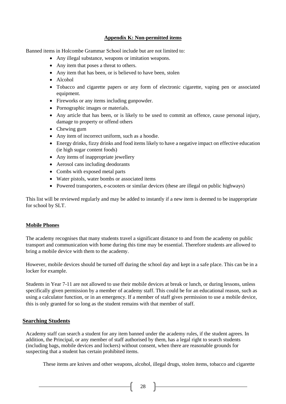#### **Appendix K: Non-permitted items**

Banned items in Holcombe Grammar School include but are not limited to:

- Any illegal substance, weapons or imitation weapons.
- Any item that poses a threat to others.
- Any item that has been, or is believed to have been, stolen
- Alcohol
- Tobacco and cigarette papers or any form of electronic cigarette, vaping pen or associated equipment.
- Fireworks or any items including gunpowder.
- Pornographic images or materials.
- Any article that has been, or is likely to be used to commit an offence, cause personal injury, damage to property or offend others
- Chewing gum
- Any item of incorrect uniform, such as a hoodie.
- Energy drinks, fizzy drinks and food items likely to have a negative impact on effective education (ie high sugar content foods)
- Any items of inappropriate jewellery
- Aerosol cans including deodorants
- Combs with exposed metal parts
- Water pistols, water bombs or associated items
- Powered transporters, e-scooters or similar devices (these are illegal on public highways)

This list will be reviewed regularly and may be added to instantly if a new item is deemed to be inappropriate for school by SLT.

#### **Mobile Phones**

The academy recognises that many students travel a significant distance to and from the academy on public transport and communication with home during this time may be essential. Therefore students are allowed to bring a mobile device with them to the academy.

However, mobile devices should be turned off during the school day and kept in a safe place. This can be in a locker for example.

Students in Year 7-11 are not allowed to use their mobile devices at break or lunch, or during lessons, unless specifically given permission by a member of academy staff. This could be for an educational reason, such as using a calculator function, or in an emergency. If a member of staff gives permission to use a mobile device, this is only granted for so long as the student remains with that member of staff.

# **Searching Students**

Academy staff can search a student for any item banned under the academy rules, if the student agrees. In addition, the Principal, or any member of staff authorised by them, has a legal right to search students (including bags, mobile devices and lockers) without consent, when there are reasonable grounds for suspecting that a student has certain prohibited items.

These items are knives and other weapons, alcohol, illegal drugs, stolen items, tobacco and cigarette

 $28$  —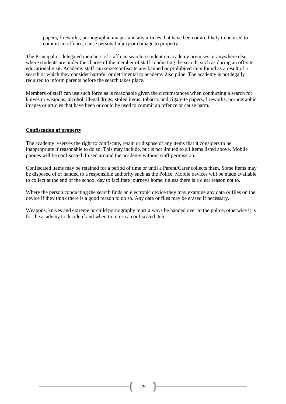papers, fireworks, pornographic images and any articles that have been or are likely to be used to commit an offence, cause personal injury or damage to property.

The Principal or delegated members of staff can search a student on academy premises or anywhere else where students are under the charge of the member of staff conducting the search, such as during an off-site educational visit. Academy staff can seize/confiscate any banned or prohibited item found as a result of a search or which they consider harmful or detrimental to academy discipline. The academy is not legally required to inform parents before the search takes place.

Members of staff can use such force as is reasonable given the circumstances when conducting a search for knives or weapons, alcohol, illegal drugs, stolen items, tobacco and cigarette papers, fireworks, pornographic images or articles that have been or could be used to commit an offence or cause harm.

#### **Confiscation of property**

The academy reserves the right to confiscate, retain or dispose of any items that it considers to be inappropriate if reasonable to do so. This may include, but is not limited to all items listed above. Mobile phones will be confiscated if used around the academy without staff permission.

Confiscated items may be retained for a period of time or until a Parent/Carer collects them. Some items may be disposed of or handed to a responsible authority such as the Police. Mobile devices will be made available to collect at the end of the school day to facilitate journeys home, unless there is a clear reason not to.

Where the person conducting the search finds an electronic device they may examine any data or files on the device if they think there is a good reason to do so. Any data or files may be erased if necessary.

Weapons, knives and extreme or child pornography must always be handed over to the police, otherwise it is for the academy to decide if and when to return a confiscated item.